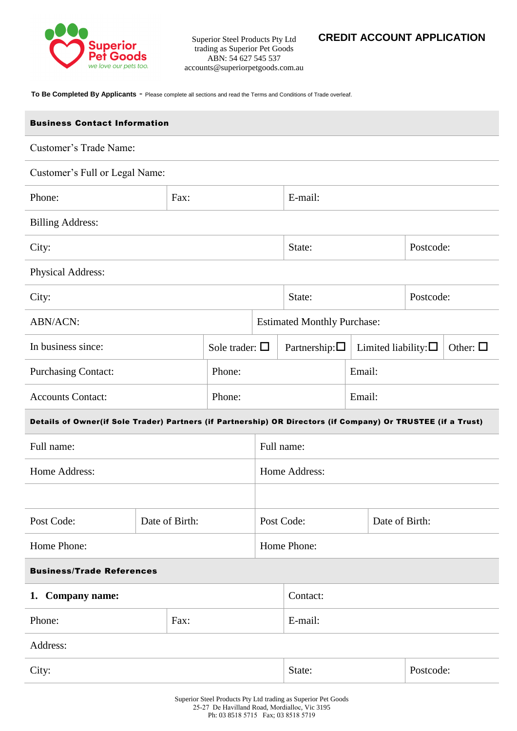

Superior Steel Products Pty Ltd trading as Superior Pet Goods ABN: 54 627 545 537 accounts@superiorpetgoods.com.au

**To Be Completed By Applicants** - Please complete all sections and read the Terms and Conditions of Trade overleaf.

| <b>Business Contact Information</b>                                                                          |                |  |                        |                                    |                        |           |                                               |  |
|--------------------------------------------------------------------------------------------------------------|----------------|--|------------------------|------------------------------------|------------------------|-----------|-----------------------------------------------|--|
| Customer's Trade Name:                                                                                       |                |  |                        |                                    |                        |           |                                               |  |
| Customer's Full or Legal Name:                                                                               |                |  |                        |                                    |                        |           |                                               |  |
| Phone:                                                                                                       | Fax:           |  |                        |                                    | E-mail:                |           |                                               |  |
| <b>Billing Address:</b>                                                                                      |                |  |                        |                                    |                        |           |                                               |  |
| City:                                                                                                        |                |  |                        | State:                             |                        | Postcode: |                                               |  |
| Physical Address:                                                                                            |                |  |                        |                                    |                        |           |                                               |  |
| City:                                                                                                        |                |  |                        | State:                             |                        | Postcode: |                                               |  |
| <b>ABN/ACN:</b>                                                                                              |                |  |                        | <b>Estimated Monthly Purchase:</b> |                        |           |                                               |  |
| In business since:                                                                                           |                |  | Sole trader: $\square$ |                                    | Partnership: $\square$ |           | Other: $\Box$<br>Limited liability: $\square$ |  |
| <b>Purchasing Contact:</b>                                                                                   |                |  | Phone:                 |                                    |                        | Email:    |                                               |  |
| <b>Accounts Contact:</b>                                                                                     |                |  | Phone:                 |                                    |                        | Email:    |                                               |  |
| Details of Owner(if Sole Trader) Partners (if Partnership) OR Directors (if Company) Or TRUSTEE (if a Trust) |                |  |                        |                                    |                        |           |                                               |  |
| Full name:                                                                                                   |                |  | Full name:             |                                    |                        |           |                                               |  |
| Home Address:                                                                                                |                |  |                        | Home Address:                      |                        |           |                                               |  |
|                                                                                                              |                |  |                        |                                    |                        |           |                                               |  |
| Post Code:                                                                                                   | Date of Birth: |  |                        | Post Code:<br>Date of Birth:       |                        |           |                                               |  |
| Home Phone:                                                                                                  |                |  |                        | Home Phone:                        |                        |           |                                               |  |
| <b>Business/Trade References</b>                                                                             |                |  |                        |                                    |                        |           |                                               |  |
| 1. Company name:                                                                                             |                |  |                        | Contact:                           |                        |           |                                               |  |
| Phone:                                                                                                       | Fax:           |  |                        |                                    | E-mail:                |           |                                               |  |
| Address:                                                                                                     |                |  |                        |                                    |                        |           |                                               |  |
| City:                                                                                                        |                |  |                        | Postcode:<br>State:                |                        |           |                                               |  |
|                                                                                                              |                |  |                        |                                    |                        |           |                                               |  |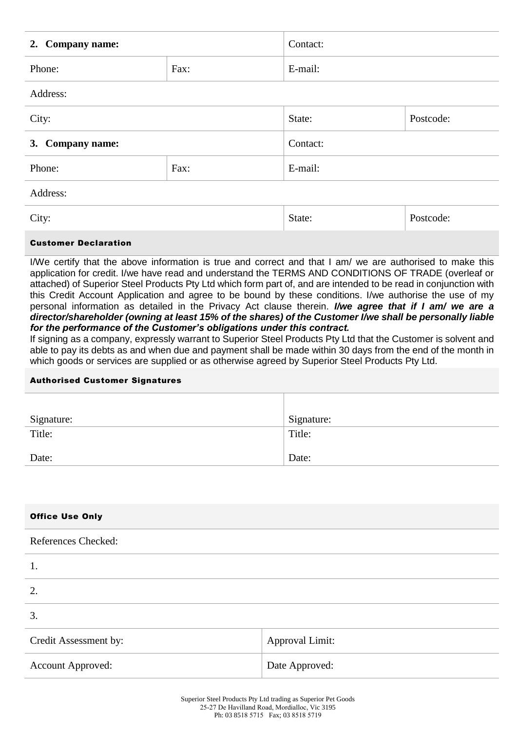| 2. Company name:            |      | Contact: |           |  |  |
|-----------------------------|------|----------|-----------|--|--|
| Phone:                      | Fax: |          | E-mail:   |  |  |
| Address:                    |      |          |           |  |  |
| City:                       |      | State:   | Postcode: |  |  |
| 3. Company name:            |      | Contact: |           |  |  |
| Phone:                      | Fax: | E-mail:  |           |  |  |
| Address:                    |      |          |           |  |  |
| City:                       |      | State:   | Postcode: |  |  |
| <b>Customer Declaration</b> |      |          |           |  |  |

I/We certify that the above information is true and correct and that I am/ we are authorised to make this application for credit. I/we have read and understand the TERMS AND CONDITIONS OF TRADE (overleaf or attached) of Superior Steel Products Pty Ltd which form part of, and are intended to be read in conjunction with this Credit Account Application and agree to be bound by these conditions. I/we authorise the use of my personal information as detailed in the Privacy Act clause therein. *I/we agree that if I am/ we are a director/shareholder (owning at least 15% of the shares) of the Customer I/we shall be personally liable for the performance of the Customer's obligations under this contract.*

If signing as a company, expressly warrant to Superior Steel Products Pty Ltd that the Customer is solvent and able to pay its debts as and when due and payment shall be made within 30 days from the end of the month in which goods or services are supplied or as otherwise agreed by Superior Steel Products Pty Ltd.

## Authorised Customer Signatures

| Signature: | Signature: |
|------------|------------|
| Title:     | Title:     |
| Date:      | Date:      |

| <b>Office Use Only</b> |  |  |  |
|------------------------|--|--|--|
|------------------------|--|--|--|

## References Checked:

| 1.                       |                        |
|--------------------------|------------------------|
| 2.                       |                        |
| 3.                       |                        |
| Credit Assessment by:    | <b>Approval Limit:</b> |
| <b>Account Approved:</b> | Date Approved:         |